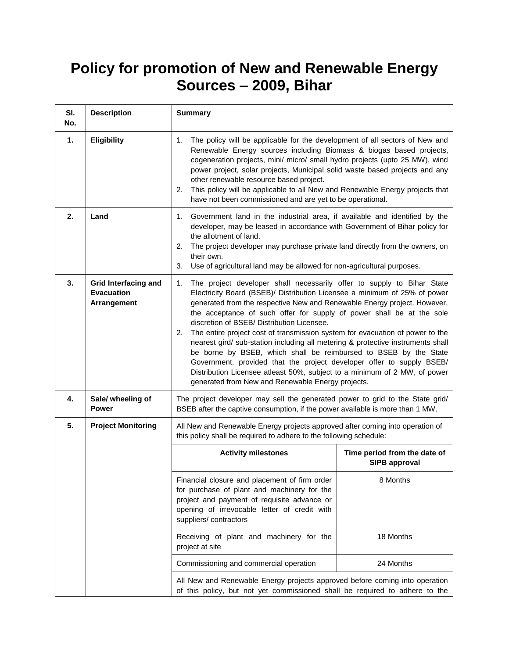## **Policy for promotion of New and Renewable Energy Sources – 2009, Bihar**

| SI.<br>No.     | <b>Description</b>                                              | <b>Summary</b>                                                                                                                                                                                                                                                                                                                                                                                                                                                                                                                                                                                                                                                                                                                                                                                                        |                                                      |
|----------------|-----------------------------------------------------------------|-----------------------------------------------------------------------------------------------------------------------------------------------------------------------------------------------------------------------------------------------------------------------------------------------------------------------------------------------------------------------------------------------------------------------------------------------------------------------------------------------------------------------------------------------------------------------------------------------------------------------------------------------------------------------------------------------------------------------------------------------------------------------------------------------------------------------|------------------------------------------------------|
| $\mathbf{1}$ . | <b>Eligibility</b>                                              | 1.<br>The policy will be applicable for the development of all sectors of New and<br>Renewable Energy sources including Biomass & biogas based projects,<br>cogeneration projects, mini/ micro/ small hydro projects (upto 25 MW), wind<br>power project, solar projects, Municipal solid waste based projects and any<br>other renewable resource based project.<br>This policy will be applicable to all New and Renewable Energy projects that<br>2.<br>have not been commissioned and are yet to be operational.                                                                                                                                                                                                                                                                                                  |                                                      |
| 2.             | Land                                                            | 1. Government land in the industrial area, if available and identified by the<br>developer, may be leased in accordance with Government of Bihar policy for<br>the allotment of land.<br>The project developer may purchase private land directly from the owners, on<br>2.<br>their own.<br>Use of agricultural land may be allowed for non-agricultural purposes.<br>3.                                                                                                                                                                                                                                                                                                                                                                                                                                             |                                                      |
| 3.             | <b>Grid Interfacing and</b><br><b>Evacuation</b><br>Arrangement | The project developer shall necessarily offer to supply to Bihar State<br>1.<br>Electricity Board (BSEB)/ Distribution Licensee a minimum of 25% of power<br>generated from the respective New and Renewable Energy project. However,<br>the acceptance of such offer for supply of power shall be at the sole<br>discretion of BSEB/ Distribution Licensee.<br>The entire project cost of transmission system for evacuation of power to the<br>2.<br>nearest gird/ sub-station including all metering & protective instruments shall<br>be borne by BSEB, which shall be reimbursed to BSEB by the State<br>Government, provided that the project developer offer to supply BSEB/<br>Distribution Licensee atleast 50%, subject to a minimum of 2 MW, of power<br>generated from New and Renewable Energy projects. |                                                      |
| 4.             | Sale/ wheeling of<br><b>Power</b>                               | The project developer may sell the generated power to grid to the State grid/<br>BSEB after the captive consumption, if the power available is more than 1 MW.                                                                                                                                                                                                                                                                                                                                                                                                                                                                                                                                                                                                                                                        |                                                      |
| 5.             | <b>Project Monitoring</b>                                       | All New and Renewable Energy projects approved after coming into operation of<br>this policy shall be required to adhere to the following schedule:                                                                                                                                                                                                                                                                                                                                                                                                                                                                                                                                                                                                                                                                   |                                                      |
|                |                                                                 | <b>Activity milestones</b>                                                                                                                                                                                                                                                                                                                                                                                                                                                                                                                                                                                                                                                                                                                                                                                            | Time period from the date of<br><b>SIPB approval</b> |
|                |                                                                 | Financial closure and placement of firm order<br>for purchase of plant and machinery for the<br>project and payment of requisite advance or<br>opening of irrevocable letter of credit with<br>suppliers/contractors                                                                                                                                                                                                                                                                                                                                                                                                                                                                                                                                                                                                  | 8 Months                                             |
|                |                                                                 | Receiving of plant and machinery for the<br>project at site                                                                                                                                                                                                                                                                                                                                                                                                                                                                                                                                                                                                                                                                                                                                                           | 18 Months                                            |
|                |                                                                 | Commissioning and commercial operation                                                                                                                                                                                                                                                                                                                                                                                                                                                                                                                                                                                                                                                                                                                                                                                | 24 Months                                            |
|                |                                                                 | All New and Renewable Energy projects approved before coming into operation<br>of this policy, but not yet commissioned shall be required to adhere to the                                                                                                                                                                                                                                                                                                                                                                                                                                                                                                                                                                                                                                                            |                                                      |